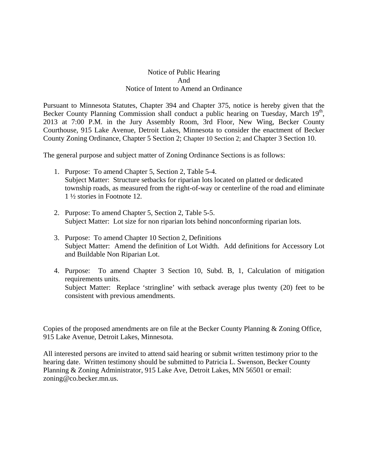## Notice of Public Hearing And Notice of Intent to Amend an Ordinance

Pursuant to Minnesota Statutes, Chapter 394 and Chapter 375, notice is hereby given that the Becker County Planning Commission shall conduct a public hearing on Tuesday, March 19<sup>th</sup>, 2013 at 7:00 P.M. in the Jury Assembly Room, 3rd Floor, New Wing, Becker County Courthouse, 915 Lake Avenue, Detroit Lakes, Minnesota to consider the enactment of Becker County Zoning Ordinance, Chapter 5 Section 2; Chapter 10 Section 2; and Chapter 3 Section 10.

The general purpose and subject matter of Zoning Ordinance Sections is as follows:

- 1. Purpose: To amend Chapter 5, Section 2, Table 5-4. Subject Matter: Structure setbacks for riparian lots located on platted or dedicated township roads, as measured from the right-of-way or centerline of the road and eliminate 1 ½ stories in Footnote 12.
- 2. Purpose: To amend Chapter 5, Section 2, Table 5-5. Subject Matter: Lot size for non riparian lots behind nonconforming riparian lots.
- 3. Purpose: To amend Chapter 10 Section 2, Definitions Subject Matter: Amend the definition of Lot Width. Add definitions for Accessory Lot and Buildable Non Riparian Lot.
- 4. Purpose: To amend Chapter 3 Section 10, Subd. B, 1, Calculation of mitigation requirements units. Subject Matter: Replace 'stringline' with setback average plus twenty (20) feet to be consistent with previous amendments.

Copies of the proposed amendments are on file at the Becker County Planning & Zoning Office, 915 Lake Avenue, Detroit Lakes, Minnesota.

All interested persons are invited to attend said hearing or submit written testimony prior to the hearing date. Written testimony should be submitted to Patricia L. Swenson, Becker County Planning & Zoning Administrator, 915 Lake Ave, Detroit Lakes, MN 56501 or email: zoning@co.becker.mn.us.